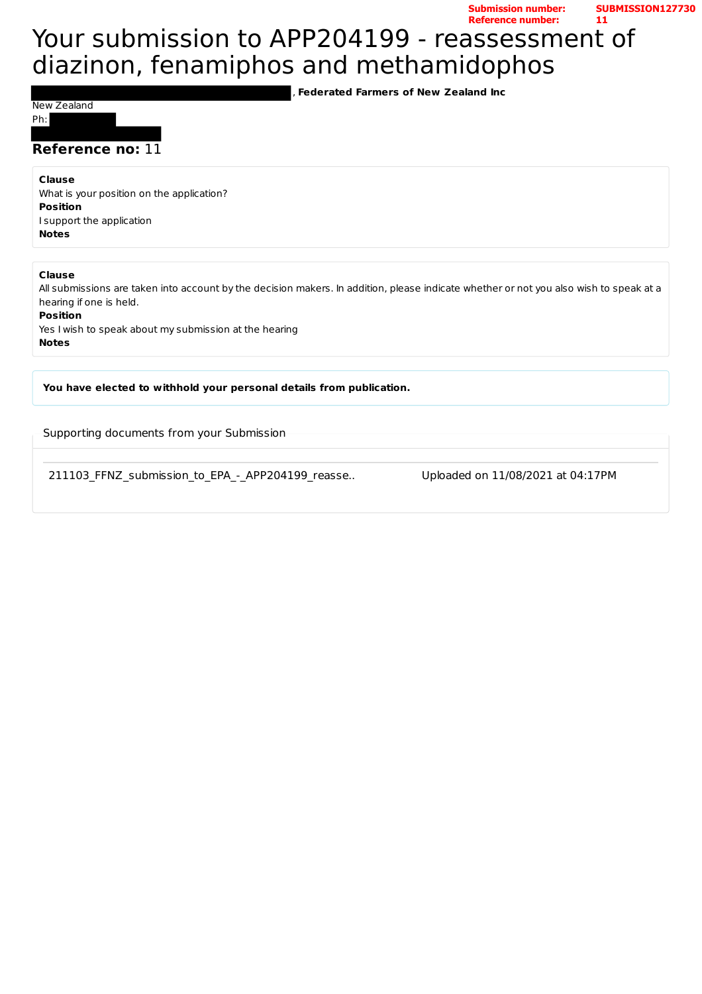**Submission number: SUBMISSION127730 Reference number: 11**

# Your submission to APP204199 - reassessment of diazinon, fenamiphos and methamidophos

**Federated Farmers of New Zealand Inc** 

New Zealand

Ph: 

### **Reference no: 11**

#### **Clause**

What is your position on the application? **Position** I support the application **Notes**

#### **Clause**

All submissions are taken into account by the decision makers. In addition, please indicate whether or not you also wish to speak at a hearing if one is held.

#### **Position**

Yes I wish to speak about my submission at the hearing **Notes**

You have elected to withhold your personal details from publication.

Supporting documents from your Submission

211103 FFNZ submission to EPA - APP204199 reasse.. Uploaded on 11/08/2021 at 04:17PM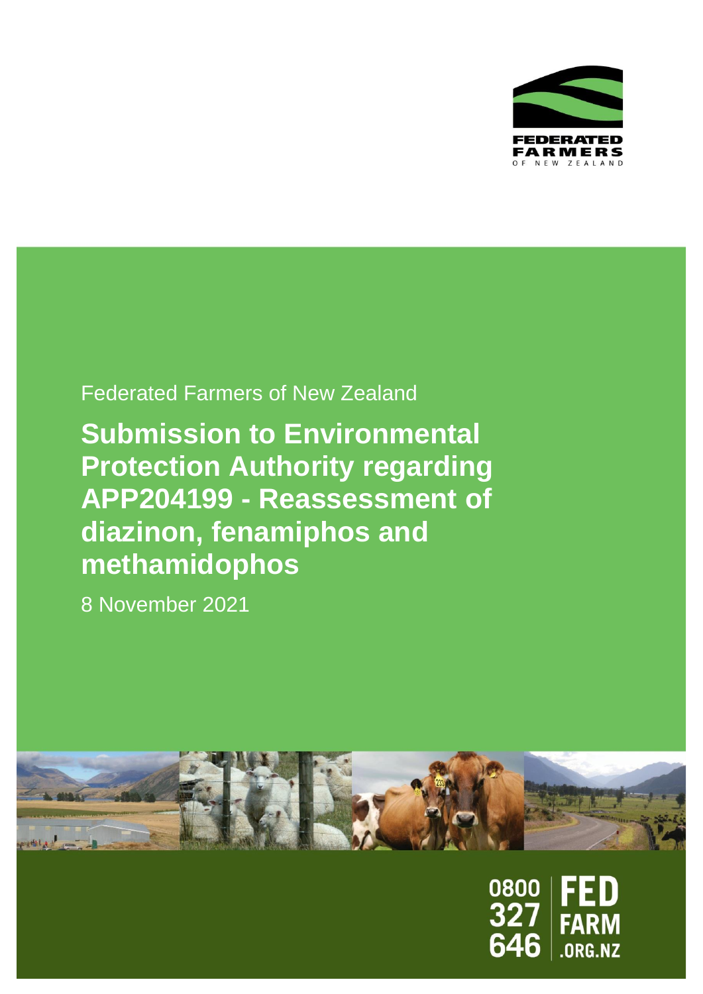

# Federated Farmers of New Zealand

**Submission to Environmental Protection Authority regarding APP204199 - Reassessment of diazinon, fenamiphos and methamidophos**

8 November 2021



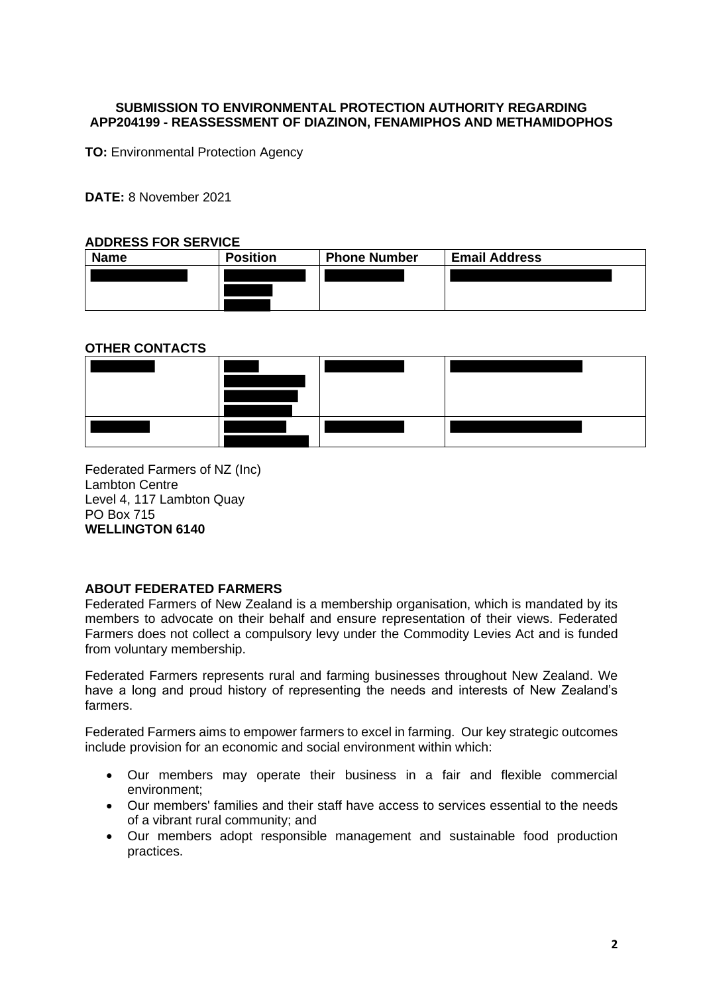#### **SUBMISSION TO ENVIRONMENTAL PROTECTION AUTHORITY REGARDING APP204199 - REASSESSMENT OF DIAZINON, FENAMIPHOS AND METHAMIDOPHOS**

**TO: Environmental Protection Agency** 

**DATE:** 8 November 2021

#### **ADDRESS FOR SERVICE**

| <b>Name</b> | <b>Position</b> | <b>Phone Number</b> | <b>Email Address</b> |
|-------------|-----------------|---------------------|----------------------|
|             |                 |                     |                      |
|             |                 |                     |                      |
|             |                 |                     |                      |

### **OTHER CONTACTS**



Federated Farmers of NZ (Inc) Lambton Centre Level 4, 117 Lambton Quay PO Box 715 **WELLINGTON 6140**

### **ABOUT FEDERATED FARMERS**

Federated Farmers of New Zealand is a membership organisation, which is mandated by its members to advocate on their behalf and ensure representation of their views. Federated Farmers does not collect a compulsory levy under the Commodity Levies Act and is funded from voluntary membership.

Federated Farmers represents rural and farming businesses throughout New Zealand. We have a long and proud history of representing the needs and interests of New Zealand's farmers.

Federated Farmers aims to empower farmers to excel in farming. Our key strategic outcomes include provision for an economic and social environment within which:

- Our members may operate their business in a fair and flexible commercial environment;
- Our members' families and their staff have access to services essential to the needs of a vibrant rural community; and
- Our members adopt responsible management and sustainable food production practices.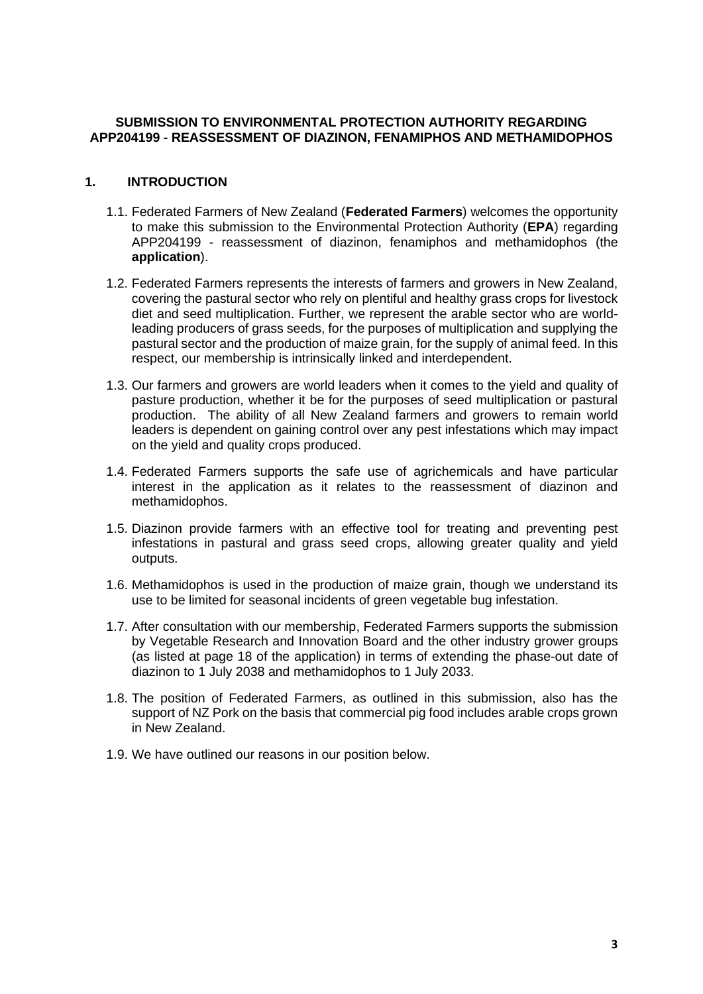#### **SUBMISSION TO ENVIRONMENTAL PROTECTION AUTHORITY REGARDING APP204199 - REASSESSMENT OF DIAZINON, FENAMIPHOS AND METHAMIDOPHOS**

## **1. INTRODUCTION**

- 1.1. Federated Farmers of New Zealand (**Federated Farmers**) welcomes the opportunity to make this submission to the Environmental Protection Authority (**EPA**) regarding APP204199 - reassessment of diazinon, fenamiphos and methamidophos (the **application**).
- 1.2. Federated Farmers represents the interests of farmers and growers in New Zealand, covering the pastural sector who rely on plentiful and healthy grass crops for livestock diet and seed multiplication. Further, we represent the arable sector who are worldleading producers of grass seeds, for the purposes of multiplication and supplying the pastural sector and the production of maize grain, for the supply of animal feed. In this respect, our membership is intrinsically linked and interdependent.
- 1.3. Our farmers and growers are world leaders when it comes to the yield and quality of pasture production, whether it be for the purposes of seed multiplication or pastural production. The ability of all New Zealand farmers and growers to remain world leaders is dependent on gaining control over any pest infestations which may impact on the yield and quality crops produced.
- 1.4. Federated Farmers supports the safe use of agrichemicals and have particular interest in the application as it relates to the reassessment of diazinon and methamidophos.
- 1.5. Diazinon provide farmers with an effective tool for treating and preventing pest infestations in pastural and grass seed crops, allowing greater quality and yield outputs.
- 1.6. Methamidophos is used in the production of maize grain, though we understand its use to be limited for seasonal incidents of green vegetable bug infestation.
- 1.7. After consultation with our membership, Federated Farmers supports the submission by Vegetable Research and Innovation Board and the other industry grower groups (as listed at page 18 of the application) in terms of extending the phase-out date of diazinon to 1 July 2038 and methamidophos to 1 July 2033.
- 1.8. The position of Federated Farmers, as outlined in this submission, also has the support of NZ Pork on the basis that commercial pig food includes arable crops grown in New Zealand.
- 1.9. We have outlined our reasons in our position below.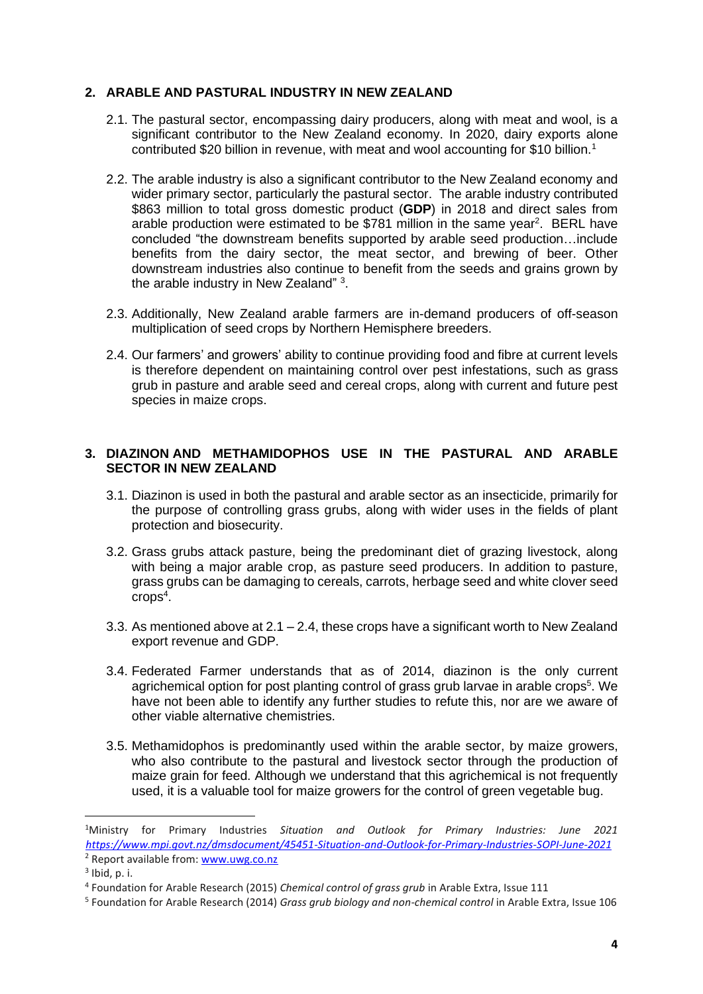#### **2. ARABLE AND PASTURAL INDUSTRY IN NEW ZEALAND**

- 2.1. The pastural sector, encompassing dairy producers, along with meat and wool, is a significant contributor to the New Zealand economy. In 2020, dairy exports alone contributed \$20 billion in revenue, with meat and wool accounting for \$10 billion.<sup>1</sup>
- 2.2. The arable industry is also a significant contributor to the New Zealand economy and wider primary sector, particularly the pastural sector. The arable industry contributed \$863 million to total gross domestic product (**GDP**) in 2018 and direct sales from arable production were estimated to be \$781 million in the same year<sup>2</sup>. BERL have concluded "the downstream benefits supported by arable seed production…include benefits from the dairy sector, the meat sector, and brewing of beer. Other downstream industries also continue to benefit from the seeds and grains grown by the arable industry in New Zealand" 3.
- 2.3. Additionally, New Zealand arable farmers are in-demand producers of off-season multiplication of seed crops by Northern Hemisphere breeders.
- 2.4. Our farmers' and growers' ability to continue providing food and fibre at current levels is therefore dependent on maintaining control over pest infestations, such as grass grub in pasture and arable seed and cereal crops, along with current and future pest species in maize crops.

#### **3. DIAZINON AND METHAMIDOPHOS USE IN THE PASTURAL AND ARABLE SECTOR IN NEW ZEALAND**

- 3.1. Diazinon is used in both the pastural and arable sector as an insecticide, primarily for the purpose of controlling grass grubs, along with wider uses in the fields of plant protection and biosecurity.
- 3.2. Grass grubs attack pasture, being the predominant diet of grazing livestock, along with being a major arable crop, as pasture seed producers. In addition to pasture, grass grubs can be damaging to cereals, carrots, herbage seed and white clover seed crops<sup>4</sup> .
- 3.3. As mentioned above at  $2.1 2.4$ , these crops have a significant worth to New Zealand export revenue and GDP.
- 3.4. Federated Farmer understands that as of 2014, diazinon is the only current agrichemical option for post planting control of grass grub larvae in arable crops<sup>5</sup>. We have not been able to identify any further studies to refute this, nor are we aware of other viable alternative chemistries.
- 3.5. Methamidophos is predominantly used within the arable sector, by maize growers, who also contribute to the pastural and livestock sector through the production of maize grain for feed. Although we understand that this agrichemical is not frequently used, it is a valuable tool for maize growers for the control of green vegetable bug.

<sup>1</sup>Ministry for Primary Industries *Situation and Outlook for Primary Industries: June 2021 [https://www.mpi.govt.nz/dmsdocument/45451-Situation-and-Outlook-for-Primary-Industries-SOPI-June-2021](about:blank)*  $2$  Report available from[: www.uwg.co.nz](about:blank)

 $3$  Ibid, p. i.

<sup>4</sup> Foundation for Arable Research (2015) *Chemical control of grass grub* in Arable Extra, Issue 111

<sup>5</sup> Foundation for Arable Research (2014) *Grass grub biology and non-chemical control* in Arable Extra, Issue 106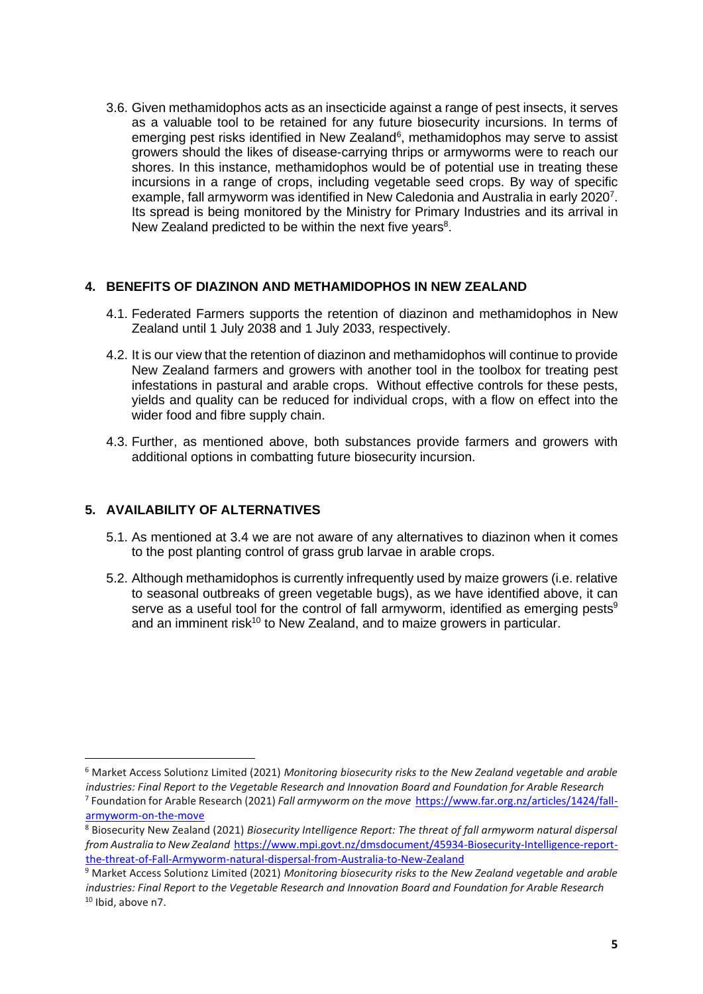3.6. Given methamidophos acts as an insecticide against a range of pest insects, it serves as a valuable tool to be retained for any future biosecurity incursions. In terms of emerging pest risks identified in New Zealand<sup>6</sup>, methamidophos may serve to assist growers should the likes of disease-carrying thrips or armyworms were to reach our shores. In this instance, methamidophos would be of potential use in treating these incursions in a range of crops, including vegetable seed crops. By way of specific example, fall armyworm was identified in New Caledonia and Australia in early 2020<sup>7</sup>. Its spread is being monitored by the Ministry for Primary Industries and its arrival in New Zealand predicted to be within the next five years<sup>8</sup>.

### **4. BENEFITS OF DIAZINON AND METHAMIDOPHOS IN NEW ZEALAND**

- 4.1. Federated Farmers supports the retention of diazinon and methamidophos in New Zealand until 1 July 2038 and 1 July 2033, respectively.
- 4.2. It is our view that the retention of diazinon and methamidophos will continue to provide New Zealand farmers and growers with another tool in the toolbox for treating pest infestations in pastural and arable crops. Without effective controls for these pests, yields and quality can be reduced for individual crops, with a flow on effect into the wider food and fibre supply chain.
- 4.3. Further, as mentioned above, both substances provide farmers and growers with additional options in combatting future biosecurity incursion.

# **5. AVAILABILITY OF ALTERNATIVES**

- 5.1. As mentioned at 3.4 we are not aware of any alternatives to diazinon when it comes to the post planting control of grass grub larvae in arable crops.
- 5.2. Although methamidophos is currently infrequently used by maize growers (i.e. relative to seasonal outbreaks of green vegetable bugs), as we have identified above, it can serve as a useful tool for the control of fall armyworm, identified as emerging pests<sup>9</sup> and an imminent risk<sup>10</sup> to New Zealand, and to maize growers in particular.

<sup>6</sup> Market Access Solutionz Limited (2021) *Monitoring biosecurity risks to the New Zealand vegetable and arable industries: Final Report to the Vegetable Research and Innovation Board and Foundation for Arable Research* 7 Foundation for Arable Research (2021) *Fall armyworm on the move* [https://www.far.org.nz/articles/1424/fall](about:blank)[armyworm-on-the-move](about:blank)

<sup>8</sup> Biosecurity New Zealand (2021) *Biosecurity Intelligence Report: The threat of fall armyworm natural dispersal from Australia to New Zealand* [https://www.mpi.govt.nz/dmsdocument/45934-Biosecurity-Intelligence-report](about:blank)[the-threat-of-Fall-Armyworm-natural-dispersal-from-Australia-to-New-Zealand](about:blank)

<sup>9</sup> Market Access Solutionz Limited (2021) *Monitoring biosecurity risks to the New Zealand vegetable and arable industries: Final Report to the Vegetable Research and Innovation Board and Foundation for Arable Research*  $10$  Ibid, above n7.